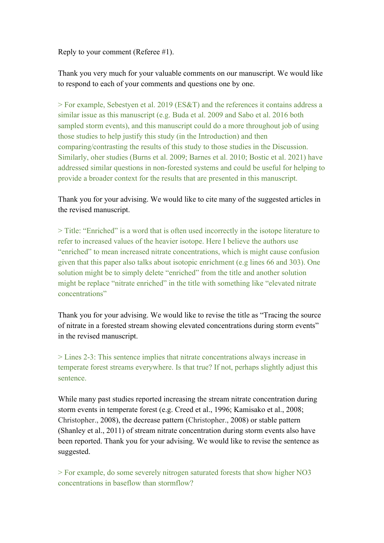Reply to your comment (Referee #1).

Thank you very much for your valuable comments on our manuscript. We would like to respond to each of your comments and questions one by one.

> For example, Sebestyen et al. 2019 (ES&T) and the references it contains address a similar issue as this manuscript (e.g. Buda et al. 2009 and Sabo et al. 2016 both sampled storm events), and this manuscript could do a more throughout job of using those studies to help justify this study (in the Introduction) and then comparing/contrasting the results of this study to those studies in the Discussion. Similarly, oher studies (Burns et al. 2009; Barnes et al. 2010; Bostic et al. 2021) have addressed similar questions in non-forested systems and could be useful for helping to provide a broader context for the results that are presented in this manuscript.

Thank you for your advising. We would like to cite many of the suggested articles in the revised manuscript.

> Title: "Enriched" is a word that is often used incorrectly in the isotope literature to refer to increased values of the heavier isotope. Here I believe the authors use "enriched" to mean increased nitrate concentrations, which is might cause confusion given that this paper also talks about isotopic enrichment (e.g lines 66 and 303). One solution might be to simply delete "enriched" from the title and another solution might be replace "nitrate enriched" in the title with something like "elevated nitrate" concentrations"

Thank you for your advising. We would like to revise the title as "Tracing the source of nitrate in a forested stream showing elevated concentrations during storm events" in the revised manuscript.

> Lines 2-3: This sentence implies that nitrate concentrations always increase in temperate forest streams everywhere. Is that true? If not, perhaps slightly adjust this sentence.

While many past studies reported increasing the stream nitrate concentration during storm events in temperate forest (e.g. Creed et al., 1996; Kamisako et al., 2008; Christopher., 2008), the decrease pattern (Christopher., 2008) or stable pattern (Shanley et al., 2011) of stream nitrate concentration during storm events also have been reported. Thank you for your advising. We would like to revise the sentence as suggested.

> For example, do some severely nitrogen saturated forests that show higher NO3 concentrations in baseflow than stormflow?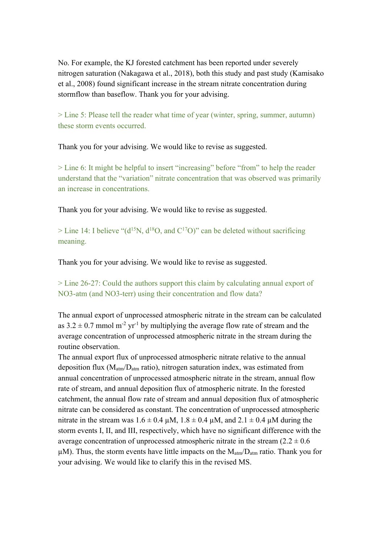No. For example, the KJ forested catchment has been reported under severely nitrogen saturation (Nakagawa et al., 2018), both this study and past study (Kamisako et al., 2008) found significant increase in the stream nitrate concentration during stormflow than baseflow. Thank you for your advising.

> Line 5: Please tell the reader what time of year (winter, spring, summer, autumn) these storm events occurred.

Thank you for your advising. We would like to revise as suggested.

> Line 6: It might be helpful to insert "increasing" before "from" to help the reader understand that the "variation" nitrate concentration that was observed was primarily an increase in concentrations.

Thank you for your advising. We would like to revise as suggested.

 $>$  Line 14: I believe "(d<sup>15</sup>N, d<sup>18</sup>O, and C<sup>17</sup>O)" can be deleted without sacrificing meaning.

Thank you for your advising. We would like to revise as suggested.

> Line 26-27: Could the authors support this claim by calculating annual export of NO3-atm (and NO3-terr) using their concentration and flow data?

The annual export of unprocessed atmospheric nitrate in the stream can be calculated as  $3.2 \pm 0.7$  mmol m<sup>-2</sup> yr<sup>-1</sup> by multiplying the average flow rate of stream and the average concentration of unprocessed atmospheric nitrate in the stream during the routine observation.

The annual export flux of unprocessed atmospheric nitrate relative to the annual deposition flux ( $M_{atm}/D_{atm}$  ratio), nitrogen saturation index, was estimated from annual concentration of unprocessed atmospheric nitrate in the stream, annual flow rate of stream, and annual deposition flux of atmospheric nitrate. In the forested catchment, the annual flow rate of stream and annual deposition flux of atmospheric nitrate can be considered as constant. The concentration of unprocessed atmospheric nitrate in the stream was  $1.6 \pm 0.4 \mu M$ ,  $1.8 \pm 0.4 \mu M$ , and  $2.1 \pm 0.4 \mu M$  during the storm events I, II, and III, respectively, which have no significant difference with the average concentration of unprocessed atmospheric nitrate in the stream  $(2.2 \pm 0.6$  $\mu$ M). Thus, the storm events have little impacts on the  $M_{\text{atm}}/D_{\text{atm}}$  ratio. Thank you for your advising. We would like to clarify this in the revised MS.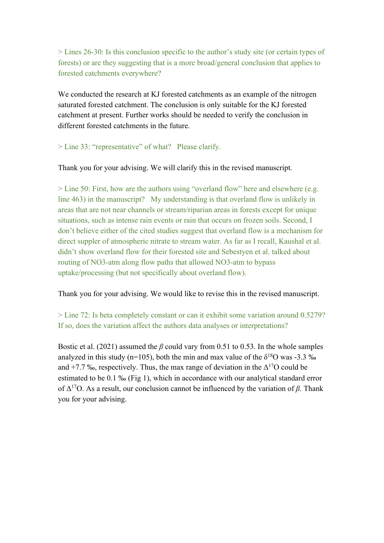> Lines 26-30: Is this conclusion specific to the author's study site (or certain types of forests) or are they suggesting that is a more broad/general conclusion that applies to forested catchments everywhere?

We conducted the research at KJ forested catchments as an example of the nitrogen saturated forested catchment. The conclusion is only suitable for the KJ forested catchment at present. Further works should be needed to verify the conclusion in different forested catchments in the future.

## > Line 33: "representative" of what? Please clarify.

Thank you for your advising. We will clarify this in the revised manuscript.

> Line 50: First, how are the authors using "overland flow" here and elsewhere (e.g. line 463) in the manuscript? My understanding is that overland flow is unlikely in areas that are not near channels or stream/riparian areas in forests except for unique situations, such as intense rain events or rain that occurs on frozen soils. Second, I don't believe either of the cited studies suggest that overland flow is a mechanism for direct suppler of atmospheric nitrate to stream water. As far as I recall, Kaushal et al. didn't show overland flow for their forested site and Sebestyen et al. talked about routing of NO3-atm along flow paths that allowed NO3-atm to bypass uptake/processing (but not specifically about overland flow).

Thank you for your advising. We would like to revise this in the revised manuscript.

> Line 72: Is beta completely constant or can it exhibit some variation around 0.5279? If so, does the variation affect the authors data analyses or interpretations?

Bostic et al. (2021) assumed the *β* could vary from 0.51 to 0.53. In the whole samples analyzed in this study (n=105), both the min and max value of the  $\delta^{18}$ O was -3.3 ‰ and +7.7 ‰, respectively. Thus, the max range of deviation in the  $\Delta^{17}O$  could be estimated to be 0.1 ‰ (Fig 1), which in accordance with our analytical standard error of  $Δ^{17}O$ . As a result, our conclusion cannot be influenced by the variation of  $β$ . Thank you for your advising.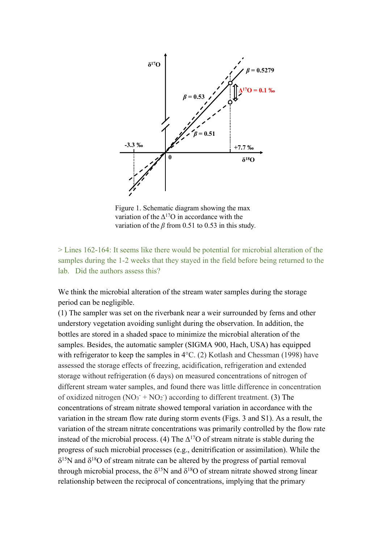

Figure 1. Schematic diagram showing the max variation of the  $\Delta^{17}O$  in accordance with the variation of the *β* from 0.51 to 0.53 in this study*.*

> Lines 162-164: It seems like there would be potential for microbial alteration of the samples during the 1-2 weeks that they stayed in the field before being returned to the lab. Did the authors assess this?

We think the microbial alteration of the stream water samples during the storage period can be negligible.

(1) The sampler was set on the riverbank near a weir surrounded by ferns and other understory vegetation avoiding sunlight during the observation. In addition, the bottles are stored in a shaded space to minimize the microbial alteration of the samples. Besides, the automatic sampler (SIGMA 900, Hach, USA) has equipped with refrigerator to keep the samples in 4°C. (2) Kotlash and Chessman (1998) have assessed the storage effects of freezing, acidification, refrigeration and extended storage without refrigeration (6 days) on measured concentrations of nitrogen of different stream water samples, and found there was little difference in concentration of oxidized nitrogen  $(NO<sub>3</sub> + NO<sub>2</sub>)$  according to different treatment. (3) The concentrations of stream nitrate showed temporal variation in accordance with the variation in the stream flow rate during storm events (Figs. 3 and S1). As a result, the variation of the stream nitrate concentrations was primarily controlled by the flow rate instead of the microbial process. (4) The  $\Delta^{17}$ O of stream nitrate is stable during the progress of such microbial processes (e.g., denitrification or assimilation). While the  $\delta^{15}$ N and  $\delta^{18}$ O of stream nitrate can be altered by the progress of partial removal through microbial process, the  $\delta^{15}N$  and  $\delta^{18}O$  of stream nitrate showed strong linear relationship between the reciprocal of concentrations, implying that the primary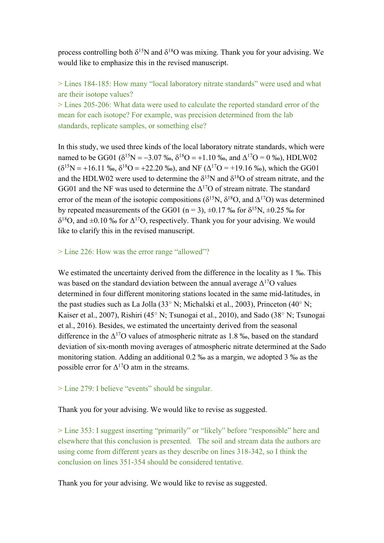process controlling both  $\delta^{15}N$  and  $\delta^{18}O$  was mixing. Thank you for your advising. We would like to emphasize this in the revised manuscript.

> Lines 184-185: How many "local laboratory nitrate standards" were used and what are their isotope values?

> Lines 205-206: What data were used to calculate the reported standard error of the mean for each isotope? For example, was precision determined from the lab standards, replicate samples, or something else?

In this study, we used three kinds of the local laboratory nitrate standards, which were named to be GG01 ( $\delta^{15}N = -3.07\%$ ,  $\delta^{18}O = +1.10\%$ , and  $\Delta^{17}O = 0\%$ ), HDLW02  $(\delta^{15}N = +16.11 \text{ %}$ ,  $\delta^{18}O = +22.20 \text{ %}$ , and NF ( $\Delta^{17}O = +19.16 \text{ %}$ ), which the GG01 and the HDLW02 were used to determine the  $\delta^{15}N$  and  $\delta^{18}O$  of stream nitrate, and the GG01 and the NF was used to determine the  $\Delta^{17}O$  of stream nitrate. The standard error of the mean of the isotopic compositions ( $\delta^{15}N$ ,  $\delta^{18}O$ , and  $\Delta^{17}O$ ) was determined by repeated measurements of the GG01 (n = 3),  $\pm$ 0.17 ‰ for  $\delta^{15}N$ ,  $\pm$ 0.25 ‰ for  $\delta^{18}O$ , and  $\pm 0.10$  ‰ for  $\Delta^{17}O$ , respectively. Thank you for your advising. We would like to clarify this in the revised manuscript.

## > Line 226: How was the error range "allowed"?

We estimated the uncertainty derived from the difference in the locality as 1 ‰. This was based on the standard deviation between the annual average  $\Delta^{17}O$  values determined in four different monitoring stations located in the same mid-latitudes, in the past studies such as La Jolla (33° N; Michalski et al., 2003), Princeton (40° N; Kaiser et al., 2007), Rishiri (45° N; Tsunogai et al., 2010), and Sado (38° N; Tsunogai et al., 2016). Besides, we estimated the uncertainty derived from the seasonal difference in the  $\Delta^{17}O$  values of atmospheric nitrate as 1.8 ‰, based on the standard deviation of six-month moving averages of atmospheric nitrate determined at the Sado monitoring station. Adding an additional 0.2 ‰ as a margin, we adopted 3 ‰ as the possible error for  $\Delta^{17}$ O atm in the streams.

## > Line 279: I believe "events" should be singular.

# Thank you for your advising. We would like to revise as suggested.

> Line 353: I suggest inserting "primarily" or "likely" before "responsible" here and elsewhere that this conclusion is presented. The soil and stream data the authors are using come from different years as they describe on lines 318-342, so I think the conclusion on lines 351-354 should be considered tentative.

Thank you for your advising. We would like to revise as suggested.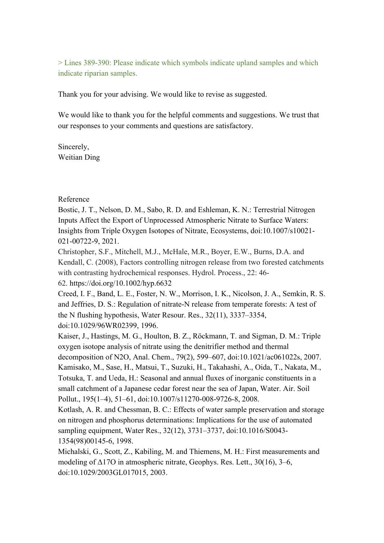> Lines 389-390: Please indicate which symbols indicate upland samples and which indicate riparian samples.

Thank you for your advising. We would like to revise as suggested.

We would like to thank you for the helpful comments and suggestions. We trust that our responses to your comments and questions are satisfactory.

Sincerely, Weitian Ding

## Reference

Bostic, J. T., Nelson, D. M., Sabo, R. D. and Eshleman, K. N.: Terrestrial Nitrogen Inputs Affect the Export of Unprocessed Atmospheric Nitrate to Surface Waters: Insights from Triple Oxygen Isotopes of Nitrate, Ecosystems, doi:10.1007/s10021- 021-00722-9, 2021.

Christopher, S.F., Mitchell, M.J., McHale, M.R., Boyer, E.W., Burns, D.A. and Kendall, C. (2008), Factors controlling nitrogen release from two forested catchments with contrasting hydrochemical responses. Hydrol. Process., 22: 46- 62. https://doi.org/10.1002/hyp.6632

Creed, I. F., Band, L. E., Foster, N. W., Morrison, I. K., Nicolson, J. A., Semkin, R. S. and Jeffries, D. S.: Regulation of nitrate-N release from temperate forests: A test of the N flushing hypothesis, Water Resour. Res., 32(11), 3337–3354, doi:10.1029/96WR02399, 1996.

Kaiser, J., Hastings, M. G., Houlton, B. Z., Röckmann, T. and Sigman, D. M.: Triple oxygen isotope analysis of nitrate using the denitrifier method and thermal decomposition of N2O, Anal. Chem., 79(2), 599–607, doi:10.1021/ac061022s, 2007. Kamisako, M., Sase, H., Matsui, T., Suzuki, H., Takahashi, A., Oida, T., Nakata, M., Totsuka, T. and Ueda, H.: Seasonal and annual fluxes of inorganic constituents in a small catchment of a Japanese cedar forest near the sea of Japan, Water. Air. Soil Pollut., 195(1–4), 51–61, doi:10.1007/s11270-008-9726-8, 2008.

Kotlash, A. R. and Chessman, B. C.: Effects of water sample preservation and storage on nitrogen and phosphorus determinations: Implications for the use of automated sampling equipment, Water Res., 32(12), 3731–3737, doi:10.1016/S0043- 1354(98)00145-6, 1998.

Michalski, G., Scott, Z., Kabiling, M. and Thiemens, M. H.: First measurements and modeling of  $\Delta$ 170 in atmospheric nitrate, Geophys. Res. Lett., 30(16), 3–6, doi:10.1029/2003GL017015, 2003.